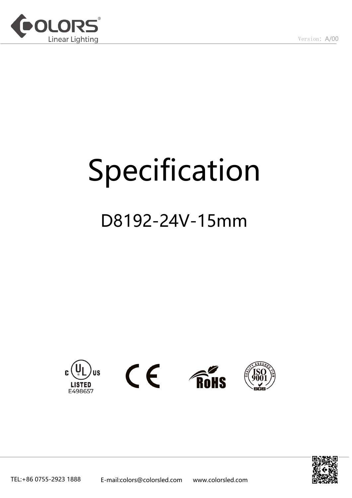

# Specification

### D8192-24V-15mm









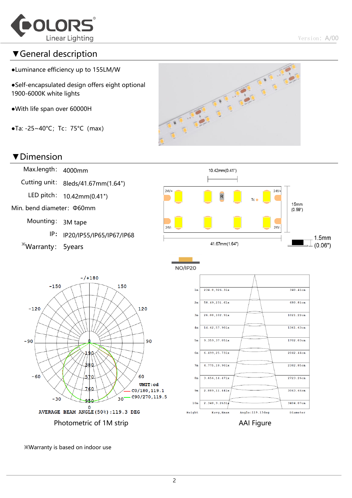

 $1.5<sub>mm</sub>$ 

 $(0.06")$ 

#### ▼General description

- ●Luminance efficiency up to 155LM/W
- ●Self-encapsulated design offers eight optional 1900-6000K white lights
- ●With life span over 60000H
- $\bullet$ Ta: -25~40°C; Tc: 75°C (max)

## **PARTIAL** COC ...

#### ▼Dimension



※Warranty is based on indoor use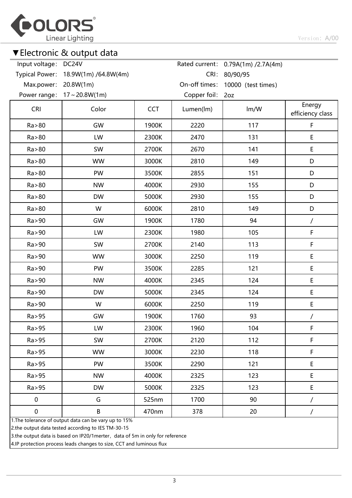

#### ▼Electronic & output data

| Input voltage:        | DC24V                                                           |            |               | Rated current: 0.79A(1m) /2.7A(4m) |                            |
|-----------------------|-----------------------------------------------------------------|------------|---------------|------------------------------------|----------------------------|
| <b>Typical Power:</b> | 18.9W(1m) /64.8W(4m)                                            |            | CRI:          | 80/90/95                           |                            |
| Max.power:            | 20.8W(1m)                                                       |            | On-off times: | 10000 (test times)                 |                            |
| Power range:          | $17 \sim 20.8W(1m)$                                             |            | Copper foil:  | 2oz                                |                            |
| <b>CRI</b>            | Color                                                           | <b>CCT</b> | Lumen(lm)     | Im/W                               | Energy<br>efficiency class |
| Ra > 80               | GW                                                              | 1900K      | 2220          | 117                                | $\mathsf F$                |
| Ra > 80               | LW                                                              | 2300K      | 2470          | 131                                | E                          |
| Ra > 80               | SW                                                              | 2700K      | 2670          | 141                                | $\mathsf E$                |
| Ra > 80               | <b>WW</b>                                                       | 3000K      | 2810          | 149                                | D                          |
| Ra > 80               | PW                                                              | 3500K      | 2855          | 151                                | D                          |
| Ra > 80               | <b>NW</b>                                                       | 4000K      | 2930          | 155                                | D                          |
| Ra > 80               | <b>DW</b>                                                       | 5000K      | 2930          | 155                                | D                          |
| Ra > 80               | W                                                               | 6000K      | 2810          | 149                                | D                          |
| Ra > 90               | GW                                                              | 1900K      | 1780          | 94                                 | $\prime$                   |
| Ra > 90               | LW                                                              | 2300K      | 1980          | 105                                | $\mathsf F$                |
| Ra > 90               | SW                                                              | 2700K      | 2140          | 113                                | $\mathsf F$                |
| Ra > 90               | <b>WW</b>                                                       | 3000K      | 2250          | 119                                | E                          |
| Ra > 90               | PW                                                              | 3500K      | 2285          | 121                                | E                          |
| Ra > 90               | <b>NW</b>                                                       | 4000K      | 2345          | 124                                | $\mathsf E$                |
| Ra > 90               | <b>DW</b>                                                       | 5000K      | 2345          | 124                                | E                          |
| Ra > 90               | W                                                               | 6000K      | 2250          | 119                                | E                          |
| Ra > 95               | GW                                                              | 1900K      | 1760          | 93                                 | /                          |
| Ra > 95               | LW                                                              | 2300K      | 1960          | 104                                | F                          |
| Ra > 95               | SW                                                              | 2700K      | 2120          | 112                                | $\mathsf F$                |
| Ra > 95               | <b>WW</b>                                                       | 3000K      | 2230          | 118                                | F                          |
| Ra > 95               | PW                                                              | 3500K      | 2290          | 121                                | $\mathsf E$                |
| Ra > 95               | <b>NW</b>                                                       | 4000K      | 2325          | 123                                | E                          |
| Ra > 95               | <b>DW</b>                                                       | 5000K      | 2325          | 123                                | E                          |
| $\pmb{0}$             | G                                                               | 525nm      | 1700          | 90                                 | /                          |
| $\pmb{0}$             | $\sf B$<br>1 The tolerance of output data can be vary up to 15% | 470nm      | 378           | 20                                 | 7                          |

ance of output data can be vary up to  $15\%$ 

2.the output data tested according to IES TM-30-15

3.the output data is based on IP20/1merter, data of 5m in only for reference

4.IP protection process leads changes to size, CCT and luminous flux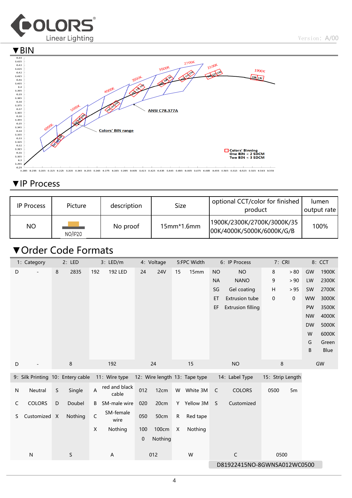



#### ▼IP Process

| <b>IP Process</b> | Picture | description | Size          | optional CCT/color for finished<br>product              | lumen<br>output rate |
|-------------------|---------|-------------|---------------|---------------------------------------------------------|----------------------|
| <b>NO</b>         | NO/IP20 | No proof    | $15$ mm*1.6mm | 1900K/2300K/2700K/3000K/35<br>00K/4000K/5000K/6000K/G/B | 100%                 |

#### ▼Order Code Formats

|    | 1: Category<br>2: LED             |   |         | 3: LED/m                | 4: Voltage                |     |            | 5:FPC Width | 6: IP Process                 |              | 7: CRI                   |                  | 8: CCT      |           |       |
|----|-----------------------------------|---|---------|-------------------------|---------------------------|-----|------------|-------------|-------------------------------|--------------|--------------------------|------------------|-------------|-----------|-------|
| D  |                                   | 8 | 2835    | 192                     | <b>192 LED</b>            | 24  | <b>24V</b> | 15          | 15mm                          | <b>NO</b>    | <b>NO</b>                | 8                | > 80        | GW        | 1900K |
|    |                                   |   |         |                         |                           |     |            |             |                               | <b>NA</b>    | <b>NANO</b>              | 9                | > 90        | LW        | 2300K |
|    |                                   |   |         |                         |                           |     |            |             |                               | SG           | Gel coating              | Н                | > 95        | SW        | 2700K |
|    |                                   |   |         |                         |                           |     |            |             |                               | ET           | <b>Extrusion tube</b>    | 0                | $\mathbf 0$ | <b>WW</b> | 3000K |
|    |                                   |   |         |                         |                           |     |            |             |                               | EF           | <b>Extrusion filling</b> |                  |             | PW        | 3500K |
|    |                                   |   |         |                         |                           |     |            |             |                               |              |                          |                  |             | <b>NW</b> | 4000K |
|    |                                   |   |         |                         |                           |     |            |             |                               |              |                          |                  |             | <b>DW</b> | 5000K |
|    |                                   |   |         |                         |                           |     |            |             |                               |              |                          |                  |             | W         | 6000K |
|    |                                   |   |         |                         |                           |     |            |             |                               |              |                          |                  |             | G         | Green |
|    |                                   |   |         |                         |                           |     |            |             |                               |              |                          |                  |             | B         | Blue  |
| D  |                                   |   | 8       |                         | 192                       |     | 24         |             | 15                            |              | <b>NO</b>                | 8                |             |           | GW    |
|    | 9: Silk Printing 10: Entery cable |   |         |                         | 11: Wire type             |     |            |             | 12: Wire length 13: Tape type |              | 14: Label Type           | 15: Strip Length |             |           |       |
| N  | Neutral                           | S | Single  | $\overline{\mathsf{A}}$ | red and black<br>cable    | 012 | 12cm       |             | W White 3M                    | C            | <b>COLORS</b>            | 0500             | 5m          |           |       |
| C  | <b>COLORS</b>                     | D | Doubel  | B                       | SM-male wire              | 020 | 20cm       |             | Y Yellow 3M                   | <sub>S</sub> | Customized               |                  |             |           |       |
| S. | Customized X                      |   | Nothing | C                       | SM-female<br>wire         | 050 | 50cm       | ${\sf R}$   | Red tape                      |              |                          |                  |             |           |       |
|    |                                   |   |         | $\mathsf X$             | Nothing                   | 100 | 100cm      | X           | Nothing                       |              |                          |                  |             |           |       |
|    |                                   |   |         |                         |                           | 0   | Nothing    |             |                               |              |                          |                  |             |           |       |
|    | ${\sf N}$                         |   | S       |                         | $\boldsymbol{\mathsf{A}}$ |     | 012        |             | W                             |              | $\mathsf C$              | 0500             |             |           |       |
|    |                                   |   |         |                         |                           |     |            |             |                               |              |                          |                  |             |           |       |
|    | D81922415NO-8GWNSA012WC0500       |   |         |                         |                           |     |            |             |                               |              |                          |                  |             |           |       |